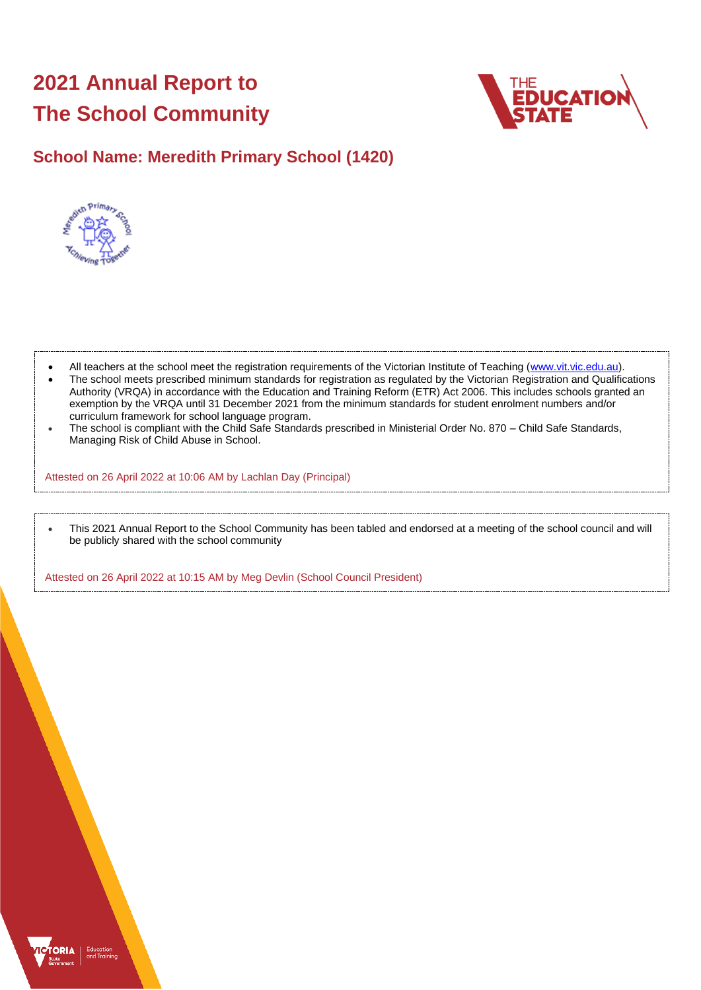# **2021 Annual Report to The School Community**



## **School Name: Meredith Primary School (1420)**



- All teachers at the school meet the registration requirements of the Victorian Institute of Teaching [\(www.vit.vic.edu.au\)](https://www.vit.vic.edu.au/).
- The school meets prescribed minimum standards for registration as regulated by the Victorian Registration and Qualifications Authority (VRQA) in accordance with the Education and Training Reform (ETR) Act 2006. This includes schools granted an exemption by the VRQA until 31 December 2021 from the minimum standards for student enrolment numbers and/or curriculum framework for school language program.
- The school is compliant with the Child Safe Standards prescribed in Ministerial Order No. 870 Child Safe Standards, Managing Risk of Child Abuse in School.

Attested on 26 April 2022 at 10:06 AM by Lachlan Day (Principal)

• This 2021 Annual Report to the School Community has been tabled and endorsed at a meeting of the school council and will be publicly shared with the school community

Attested on 26 April 2022 at 10:15 AM by Meg Devlin (School Council President)

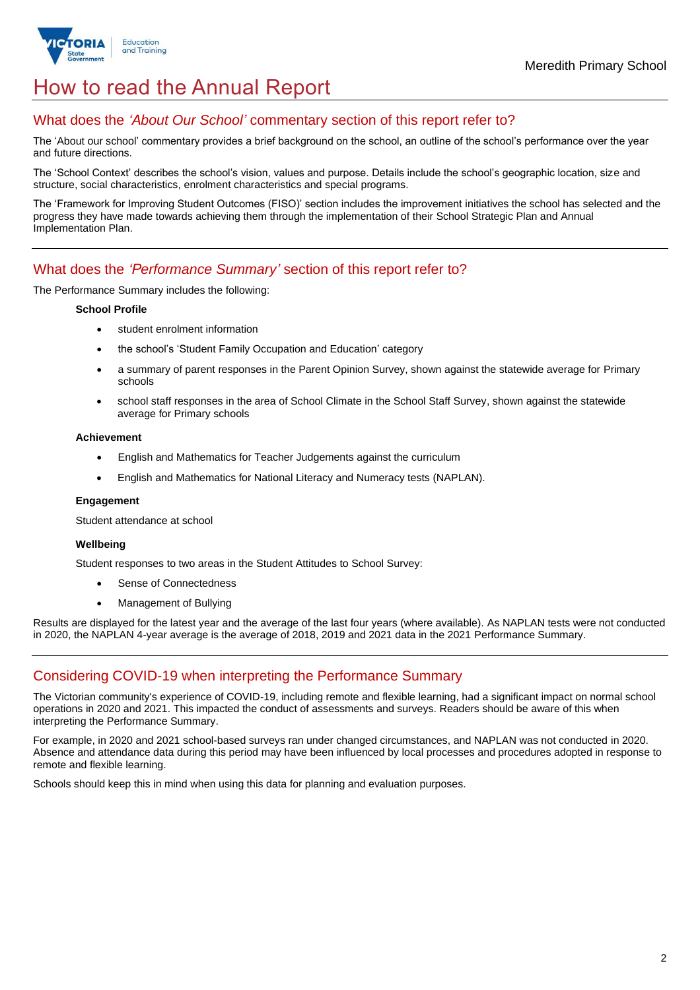

## How to read the Annual Report

### What does the *'About Our School'* commentary section of this report refer to?

The 'About our school' commentary provides a brief background on the school, an outline of the school's performance over the year and future directions.

The 'School Context' describes the school's vision, values and purpose. Details include the school's geographic location, size and structure, social characteristics, enrolment characteristics and special programs.

The 'Framework for Improving Student Outcomes (FISO)' section includes the improvement initiatives the school has selected and the progress they have made towards achieving them through the implementation of their School Strategic Plan and Annual Implementation Plan.

### What does the *'Performance Summary'* section of this report refer to?

The Performance Summary includes the following:

#### **School Profile**

- student enrolment information
- the school's 'Student Family Occupation and Education' category
- a summary of parent responses in the Parent Opinion Survey, shown against the statewide average for Primary schools
- school staff responses in the area of School Climate in the School Staff Survey, shown against the statewide average for Primary schools

#### **Achievement**

- English and Mathematics for Teacher Judgements against the curriculum
- English and Mathematics for National Literacy and Numeracy tests (NAPLAN).

#### **Engagement**

Student attendance at school

#### **Wellbeing**

Student responses to two areas in the Student Attitudes to School Survey:

- Sense of Connectedness
- Management of Bullying

Results are displayed for the latest year and the average of the last four years (where available). As NAPLAN tests were not conducted in 2020, the NAPLAN 4-year average is the average of 2018, 2019 and 2021 data in the 2021 Performance Summary.

## Considering COVID-19 when interpreting the Performance Summary

The Victorian community's experience of COVID-19, including remote and flexible learning, had a significant impact on normal school operations in 2020 and 2021. This impacted the conduct of assessments and surveys. Readers should be aware of this when interpreting the Performance Summary.

For example, in 2020 and 2021 school-based surveys ran under changed circumstances, and NAPLAN was not conducted in 2020. Absence and attendance data during this period may have been influenced by local processes and procedures adopted in response to remote and flexible learning.

Schools should keep this in mind when using this data for planning and evaluation purposes.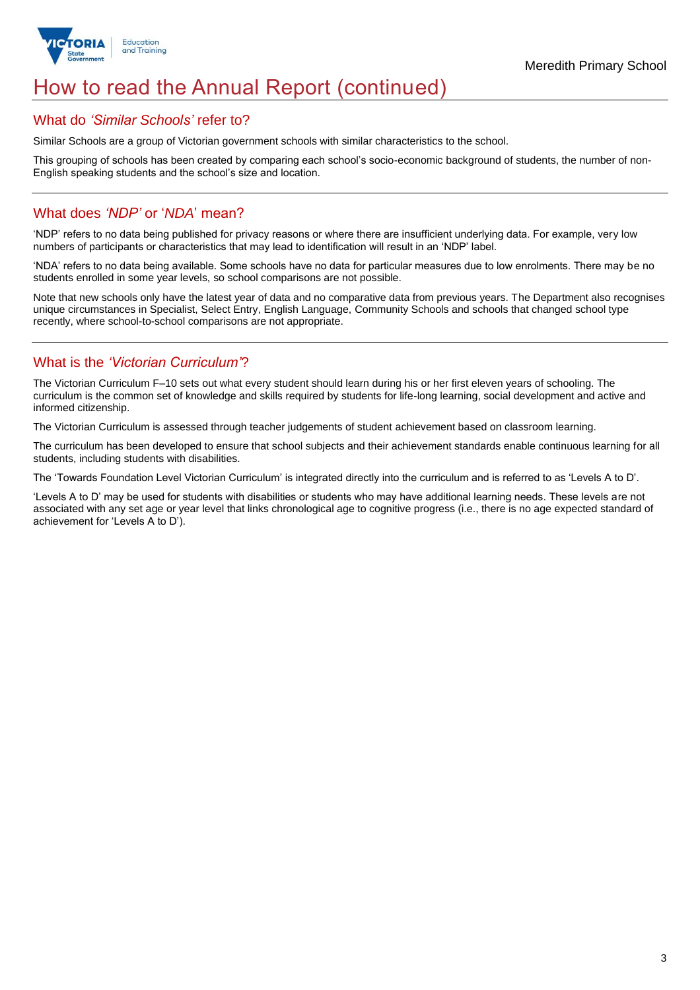

## How to read the Annual Report (continued)

#### What do *'Similar Schools'* refer to?

Similar Schools are a group of Victorian government schools with similar characteristics to the school.

This grouping of schools has been created by comparing each school's socio-economic background of students, the number of non-English speaking students and the school's size and location.

### What does *'NDP'* or '*NDA*' mean?

'NDP' refers to no data being published for privacy reasons or where there are insufficient underlying data. For example, very low numbers of participants or characteristics that may lead to identification will result in an 'NDP' label.

'NDA' refers to no data being available. Some schools have no data for particular measures due to low enrolments. There may be no students enrolled in some year levels, so school comparisons are not possible.

Note that new schools only have the latest year of data and no comparative data from previous years. The Department also recognises unique circumstances in Specialist, Select Entry, English Language, Community Schools and schools that changed school type recently, where school-to-school comparisons are not appropriate.

## What is the *'Victorian Curriculum'*?

The Victorian Curriculum F–10 sets out what every student should learn during his or her first eleven years of schooling. The curriculum is the common set of knowledge and skills required by students for life-long learning, social development and active and informed citizenship.

The Victorian Curriculum is assessed through teacher judgements of student achievement based on classroom learning.

The curriculum has been developed to ensure that school subjects and their achievement standards enable continuous learning for all students, including students with disabilities.

The 'Towards Foundation Level Victorian Curriculum' is integrated directly into the curriculum and is referred to as 'Levels A to D'.

'Levels A to D' may be used for students with disabilities or students who may have additional learning needs. These levels are not associated with any set age or year level that links chronological age to cognitive progress (i.e., there is no age expected standard of achievement for 'Levels A to D').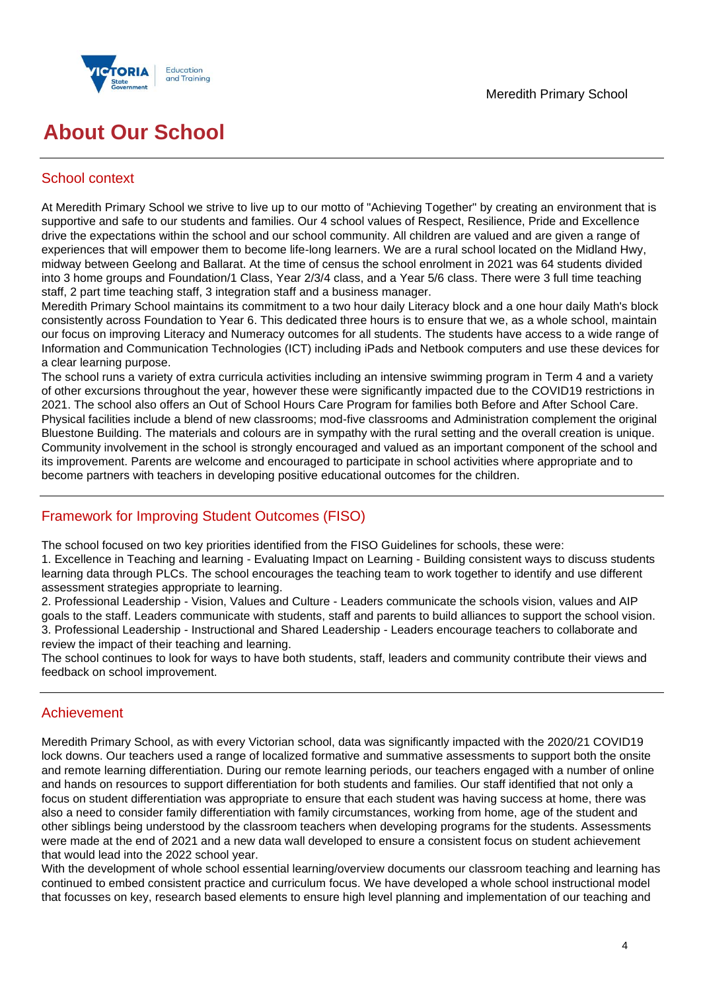

## **About Our School**

## School context

At Meredith Primary School we strive to live up to our motto of "Achieving Together" by creating an environment that is supportive and safe to our students and families. Our 4 school values of Respect, Resilience, Pride and Excellence drive the expectations within the school and our school community. All children are valued and are given a range of experiences that will empower them to become life-long learners. We are a rural school located on the Midland Hwy, midway between Geelong and Ballarat. At the time of census the school enrolment in 2021 was 64 students divided into 3 home groups and Foundation/1 Class, Year 2/3/4 class, and a Year 5/6 class. There were 3 full time teaching staff, 2 part time teaching staff, 3 integration staff and a business manager.

Meredith Primary School maintains its commitment to a two hour daily Literacy block and a one hour daily Math's block consistently across Foundation to Year 6. This dedicated three hours is to ensure that we, as a whole school, maintain our focus on improving Literacy and Numeracy outcomes for all students. The students have access to a wide range of Information and Communication Technologies (ICT) including iPads and Netbook computers and use these devices for a clear learning purpose.

The school runs a variety of extra curricula activities including an intensive swimming program in Term 4 and a variety of other excursions throughout the year, however these were significantly impacted due to the COVID19 restrictions in 2021. The school also offers an Out of School Hours Care Program for families both Before and After School Care. Physical facilities include a blend of new classrooms; mod-five classrooms and Administration complement the original Bluestone Building. The materials and colours are in sympathy with the rural setting and the overall creation is unique. Community involvement in the school is strongly encouraged and valued as an important component of the school and its improvement. Parents are welcome and encouraged to participate in school activities where appropriate and to become partners with teachers in developing positive educational outcomes for the children.

## Framework for Improving Student Outcomes (FISO)

The school focused on two key priorities identified from the FISO Guidelines for schools, these were:

1. Excellence in Teaching and learning - Evaluating Impact on Learning - Building consistent ways to discuss students learning data through PLCs. The school encourages the teaching team to work together to identify and use different assessment strategies appropriate to learning.

2. Professional Leadership - Vision, Values and Culture - Leaders communicate the schools vision, values and AIP goals to the staff. Leaders communicate with students, staff and parents to build alliances to support the school vision. 3. Professional Leadership - Instructional and Shared Leadership - Leaders encourage teachers to collaborate and review the impact of their teaching and learning.

The school continues to look for ways to have both students, staff, leaders and community contribute their views and feedback on school improvement.

## Achievement

Meredith Primary School, as with every Victorian school, data was significantly impacted with the 2020/21 COVID19 lock downs. Our teachers used a range of localized formative and summative assessments to support both the onsite and remote learning differentiation. During our remote learning periods, our teachers engaged with a number of online and hands on resources to support differentiation for both students and families. Our staff identified that not only a focus on student differentiation was appropriate to ensure that each student was having success at home, there was also a need to consider family differentiation with family circumstances, working from home, age of the student and other siblings being understood by the classroom teachers when developing programs for the students. Assessments were made at the end of 2021 and a new data wall developed to ensure a consistent focus on student achievement that would lead into the 2022 school year.

With the development of whole school essential learning/overview documents our classroom teaching and learning has continued to embed consistent practice and curriculum focus. We have developed a whole school instructional model that focusses on key, research based elements to ensure high level planning and implementation of our teaching and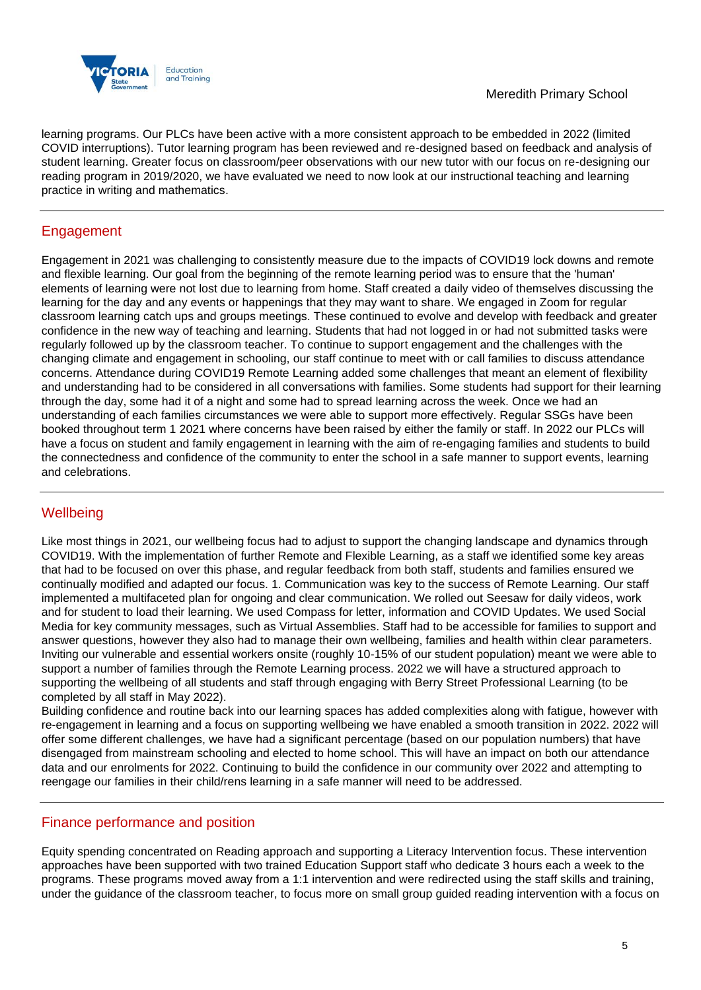

learning programs. Our PLCs have been active with a more consistent approach to be embedded in 2022 (limited COVID interruptions). Tutor learning program has been reviewed and re-designed based on feedback and analysis of student learning. Greater focus on classroom/peer observations with our new tutor with our focus on re-designing our reading program in 2019/2020, we have evaluated we need to now look at our instructional teaching and learning practice in writing and mathematics.

## Engagement

Engagement in 2021 was challenging to consistently measure due to the impacts of COVID19 lock downs and remote and flexible learning. Our goal from the beginning of the remote learning period was to ensure that the 'human' elements of learning were not lost due to learning from home. Staff created a daily video of themselves discussing the learning for the day and any events or happenings that they may want to share. We engaged in Zoom for regular classroom learning catch ups and groups meetings. These continued to evolve and develop with feedback and greater confidence in the new way of teaching and learning. Students that had not logged in or had not submitted tasks were regularly followed up by the classroom teacher. To continue to support engagement and the challenges with the changing climate and engagement in schooling, our staff continue to meet with or call families to discuss attendance concerns. Attendance during COVID19 Remote Learning added some challenges that meant an element of flexibility and understanding had to be considered in all conversations with families. Some students had support for their learning through the day, some had it of a night and some had to spread learning across the week. Once we had an understanding of each families circumstances we were able to support more effectively. Regular SSGs have been booked throughout term 1 2021 where concerns have been raised by either the family or staff. In 2022 our PLCs will have a focus on student and family engagement in learning with the aim of re-engaging families and students to build the connectedness and confidence of the community to enter the school in a safe manner to support events, learning and celebrations.

## **Wellbeing**

Like most things in 2021, our wellbeing focus had to adjust to support the changing landscape and dynamics through COVID19. With the implementation of further Remote and Flexible Learning, as a staff we identified some key areas that had to be focused on over this phase, and regular feedback from both staff, students and families ensured we continually modified and adapted our focus. 1. Communication was key to the success of Remote Learning. Our staff implemented a multifaceted plan for ongoing and clear communication. We rolled out Seesaw for daily videos, work and for student to load their learning. We used Compass for letter, information and COVID Updates. We used Social Media for key community messages, such as Virtual Assemblies. Staff had to be accessible for families to support and answer questions, however they also had to manage their own wellbeing, families and health within clear parameters. Inviting our vulnerable and essential workers onsite (roughly 10-15% of our student population) meant we were able to support a number of families through the Remote Learning process. 2022 we will have a structured approach to supporting the wellbeing of all students and staff through engaging with Berry Street Professional Learning (to be completed by all staff in May 2022).

Building confidence and routine back into our learning spaces has added complexities along with fatigue, however with re-engagement in learning and a focus on supporting wellbeing we have enabled a smooth transition in 2022. 2022 will offer some different challenges, we have had a significant percentage (based on our population numbers) that have disengaged from mainstream schooling and elected to home school. This will have an impact on both our attendance data and our enrolments for 2022. Continuing to build the confidence in our community over 2022 and attempting to reengage our families in their child/rens learning in a safe manner will need to be addressed.

## Finance performance and position

Equity spending concentrated on Reading approach and supporting a Literacy Intervention focus. These intervention approaches have been supported with two trained Education Support staff who dedicate 3 hours each a week to the programs. These programs moved away from a 1:1 intervention and were redirected using the staff skills and training, under the guidance of the classroom teacher, to focus more on small group guided reading intervention with a focus on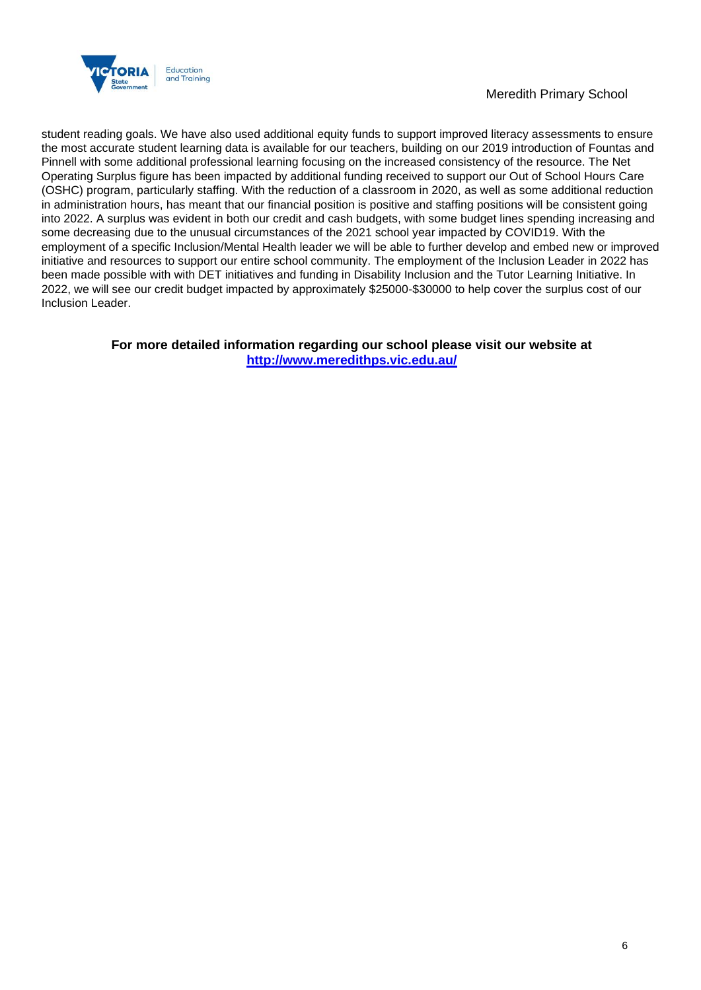

### Meredith Primary School

student reading goals. We have also used additional equity funds to support improved literacy assessments to ensure the most accurate student learning data is available for our teachers, building on our 2019 introduction of Fountas and Pinnell with some additional professional learning focusing on the increased consistency of the resource. The Net Operating Surplus figure has been impacted by additional funding received to support our Out of School Hours Care (OSHC) program, particularly staffing. With the reduction of a classroom in 2020, as well as some additional reduction in administration hours, has meant that our financial position is positive and staffing positions will be consistent going into 2022. A surplus was evident in both our credit and cash budgets, with some budget lines spending increasing and some decreasing due to the unusual circumstances of the 2021 school year impacted by COVID19. With the employment of a specific Inclusion/Mental Health leader we will be able to further develop and embed new or improved initiative and resources to support our entire school community. The employment of the Inclusion Leader in 2022 has been made possible with with DET initiatives and funding in Disability Inclusion and the Tutor Learning Initiative. In 2022, we will see our credit budget impacted by approximately \$25000-\$30000 to help cover the surplus cost of our Inclusion Leader.

> **For more detailed information regarding our school please visit our website at <http://www.meredithps.vic.edu.au/>**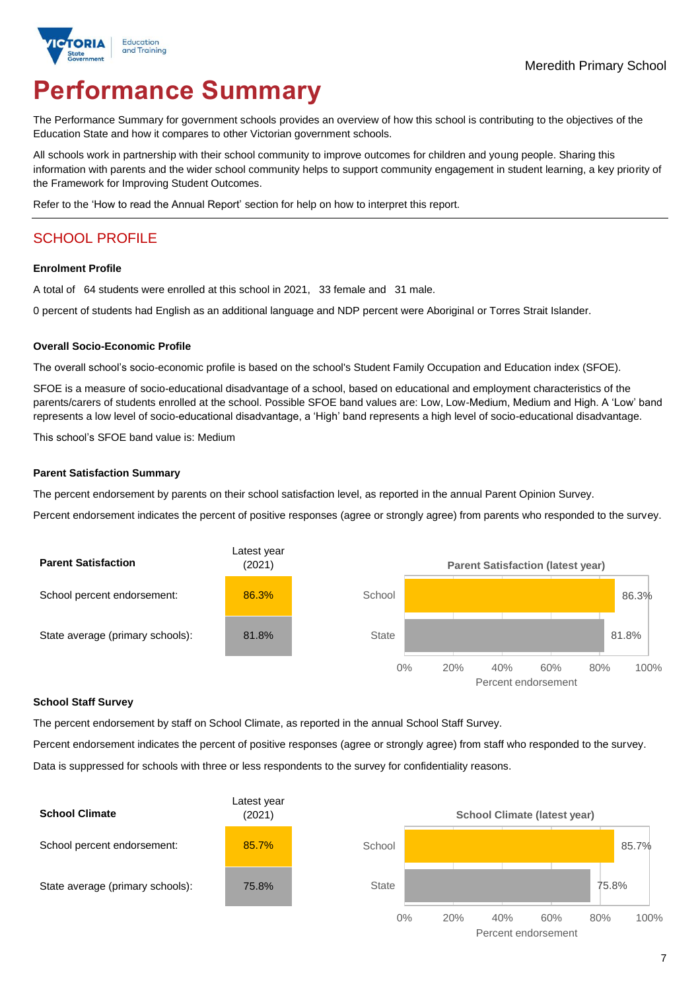

# **Performance Summary**

The Performance Summary for government schools provides an overview of how this school is contributing to the objectives of the Education State and how it compares to other Victorian government schools.

All schools work in partnership with their school community to improve outcomes for children and young people. Sharing this information with parents and the wider school community helps to support community engagement in student learning, a key priority of the Framework for Improving Student Outcomes.

Refer to the 'How to read the Annual Report' section for help on how to interpret this report.

## SCHOOL PROFILE

#### **Enrolment Profile**

A total of 64 students were enrolled at this school in 2021, 33 female and 31 male.

0 percent of students had English as an additional language and NDP percent were Aboriginal or Torres Strait Islander.

#### **Overall Socio-Economic Profile**

The overall school's socio-economic profile is based on the school's Student Family Occupation and Education index (SFOE).

SFOE is a measure of socio-educational disadvantage of a school, based on educational and employment characteristics of the parents/carers of students enrolled at the school. Possible SFOE band values are: Low, Low-Medium, Medium and High. A 'Low' band represents a low level of socio-educational disadvantage, a 'High' band represents a high level of socio-educational disadvantage.

This school's SFOE band value is: Medium

#### **Parent Satisfaction Summary**

The percent endorsement by parents on their school satisfaction level, as reported in the annual Parent Opinion Survey.

Percent endorsement indicates the percent of positive responses (agree or strongly agree) from parents who responded to the survey.



#### **School Staff Survey**

The percent endorsement by staff on School Climate, as reported in the annual School Staff Survey.

Percent endorsement indicates the percent of positive responses (agree or strongly agree) from staff who responded to the survey. Data is suppressed for schools with three or less respondents to the survey for confidentiality reasons.

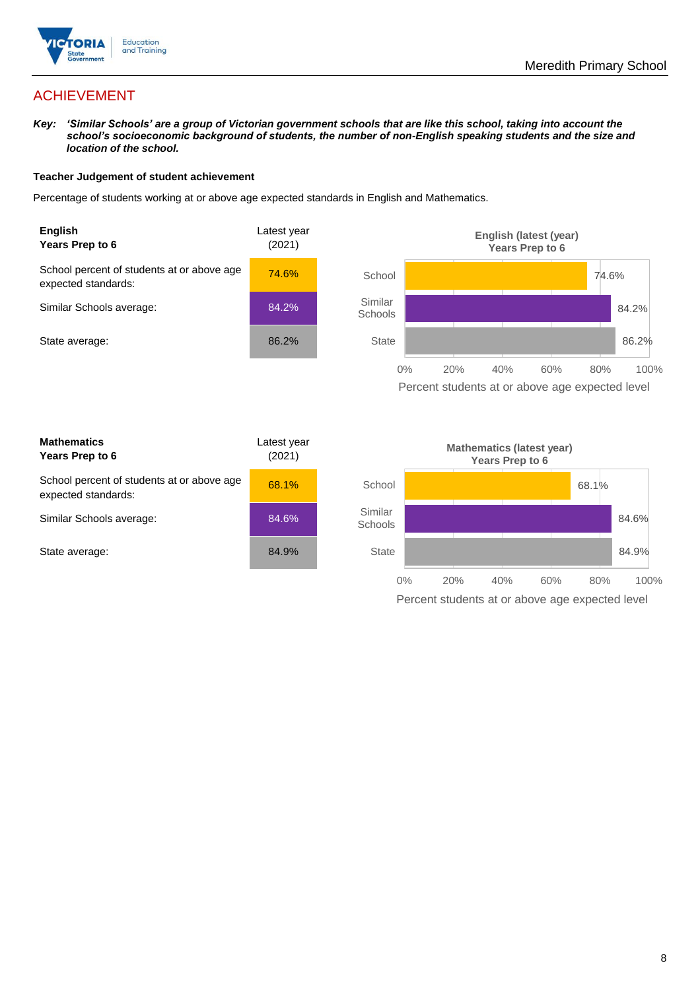

## ACHIEVEMENT

*Key: 'Similar Schools' are a group of Victorian government schools that are like this school, taking into account the school's socioeconomic background of students, the number of non-English speaking students and the size and location of the school.*

#### **Teacher Judgement of student achievement**

Percentage of students working at or above age expected standards in English and Mathematics.



Percent students at or above age expected level

| <b>Mathematics</b><br>Years Prep to 6                             | Latest year<br>(2021) |
|-------------------------------------------------------------------|-----------------------|
| School percent of students at or above age<br>expected standards: | 68.1%                 |
| Similar Schools average:                                          | 84.6%                 |
| State average:                                                    | 84.9%                 |

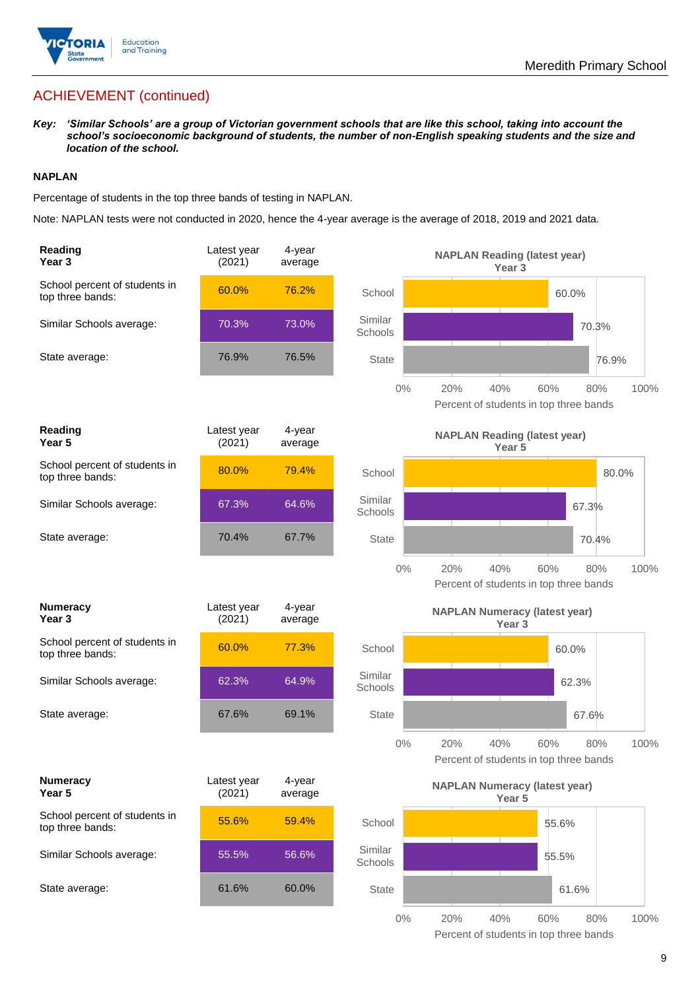

## ACHIEVEMENT (continued)

*Key: 'Similar Schools' are a group of Victorian government schools that are like this school, taking into account the school's socioeconomic background of students, the number of non-English speaking students and the size and location of the school.*

#### **NAPLAN**

Percentage of students in the top three bands of testing in NAPLAN.

Note: NAPLAN tests were not conducted in 2020, hence the 4-year average is the average of 2018, 2019 and 2021 data.

| Reading<br>Year <sub>3</sub>                      | Latest year<br>(2021) | 4-year<br>average |                    | <b>NAPLAN Reading (latest year)</b><br>Year <sub>3</sub>                   |
|---------------------------------------------------|-----------------------|-------------------|--------------------|----------------------------------------------------------------------------|
| School percent of students in<br>top three bands: | 60.0%                 | 76.2%             | School             | 60.0%                                                                      |
| Similar Schools average:                          | 70.3%                 | 73.0%             | Similar<br>Schools | 70.3%                                                                      |
| State average:                                    | 76.9%                 | 76.5%             | <b>State</b>       | 76.9%                                                                      |
|                                                   |                       |                   | $0\%$              | 20%<br>40%<br>60%<br>80%<br>100%<br>Percent of students in top three bands |
| Reading<br>Year <sub>5</sub>                      | Latest year<br>(2021) | 4-year<br>average |                    | <b>NAPLAN Reading (latest year)</b><br>Year 5                              |
| School percent of students in<br>top three bands: | 80.0%                 | 79.4%             | School             | 80.0%                                                                      |
| Similar Schools average:                          | 67.3%                 | 64.6%             | Similar<br>Schools | 67.3%                                                                      |
| State average:                                    | 70.4%                 | 67.7%             | <b>State</b>       | 70.4%                                                                      |
|                                                   |                       |                   | $0\%$              | 20%<br>40%<br>60%<br>80%<br>100%<br>Percent of students in top three bands |
|                                                   |                       |                   |                    |                                                                            |
| <b>Numeracy</b><br>Year <sub>3</sub>              | Latest year<br>(2021) | 4-year<br>average |                    | <b>NAPLAN Numeracy (latest year)</b><br>Year <sub>3</sub>                  |
| School percent of students in<br>top three bands: | 60.0%                 | 77.3%             | School             | 60.0%                                                                      |
| Similar Schools average:                          | 62.3%                 | 64.9%             | Similar<br>Schools | 62.3%                                                                      |
| State average:                                    | 67.6%                 | 69.1%             | <b>State</b>       | 67.6%                                                                      |
|                                                   |                       |                   | $0\%$              | 100%<br>20%<br>40%<br>60%<br>80%<br>Percent of students in top three bands |
| <b>Numeracy</b><br>Year 5                         | Latest year<br>(2021) | 4-year<br>average |                    | <b>NAPLAN Numeracy (latest year)</b><br>Year <sub>5</sub>                  |
| School percent of students in<br>top three bands: | 55.6%                 | 59.4%             | School             | 55.6%                                                                      |
| Similar Schools average:                          | 55.5%                 | 56.6%             | Similar<br>Schools | 55.5%                                                                      |
| State average:                                    | 61.6%                 | 60.0%             | State              | 61.6%                                                                      |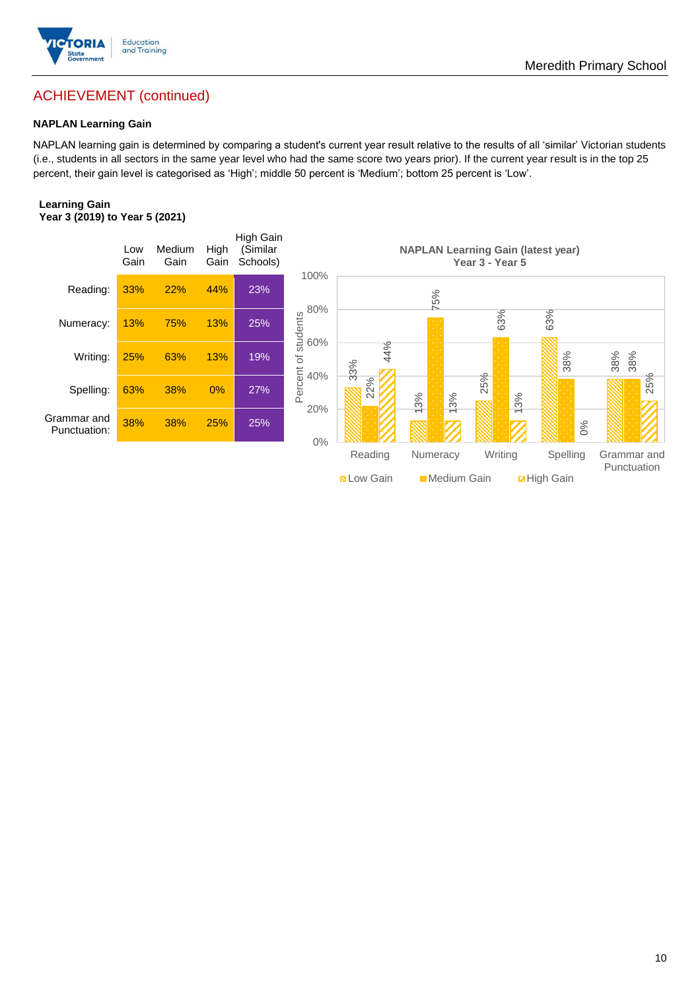

## Meredith Primary School

## ACHIEVEMENT (continued)

#### **NAPLAN Learning Gain**

NAPLAN learning gain is determined by comparing a student's current year result relative to the results of all 'similar' Victorian students (i.e., students in all sectors in the same year level who had the same score two years prior). If the current year result is in the top 25 percent, their gain level is categorised as 'High'; middle 50 percent is 'Medium'; bottom 25 percent is 'Low'.

#### **Learning Gain Year 3 (2019) to Year 5 (2021)**



**BLow Gain** Medium Gain **Example 10**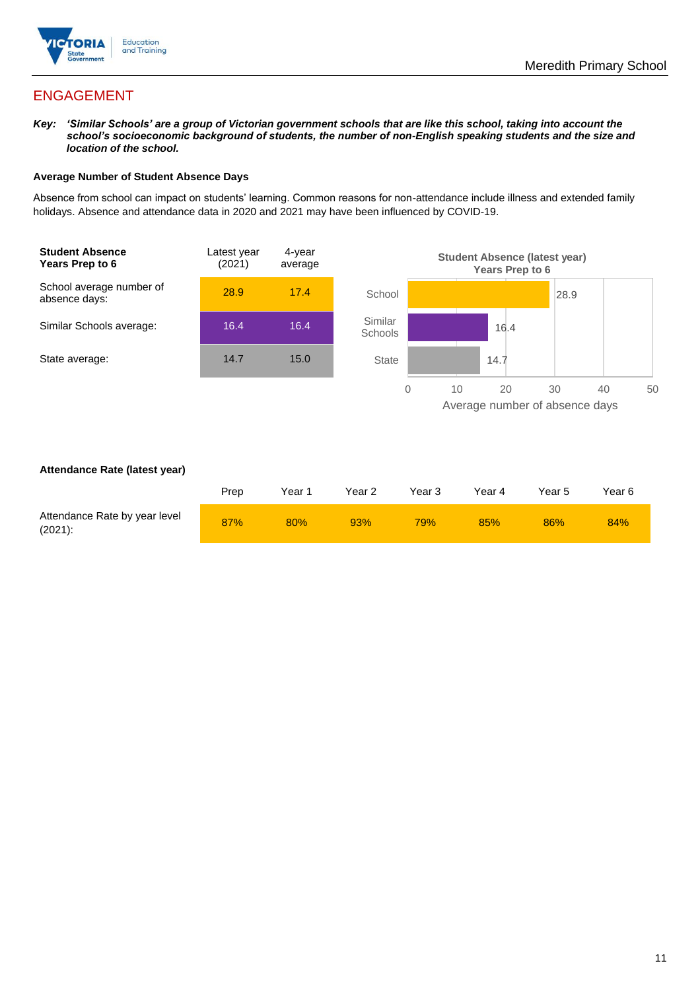

## ENGAGEMENT

*Key: 'Similar Schools' are a group of Victorian government schools that are like this school, taking into account the school's socioeconomic background of students, the number of non-English speaking students and the size and location of the school.*

#### **Average Number of Student Absence Days**

Absence from school can impact on students' learning. Common reasons for non-attendance include illness and extended family holidays. Absence and attendance data in 2020 and 2021 may have been influenced by COVID-19.



#### **Attendance Rate (latest year)**

|                                             | Prep | Year 1 | Year 2 | Year 3 | Year 4 | Year 5 | Year 6 |
|---------------------------------------------|------|--------|--------|--------|--------|--------|--------|
| Attendance Rate by year level<br>$(2021)$ : | 87%  | 80%    | 93%    | 79%    | 85%    | 86%    | 84%    |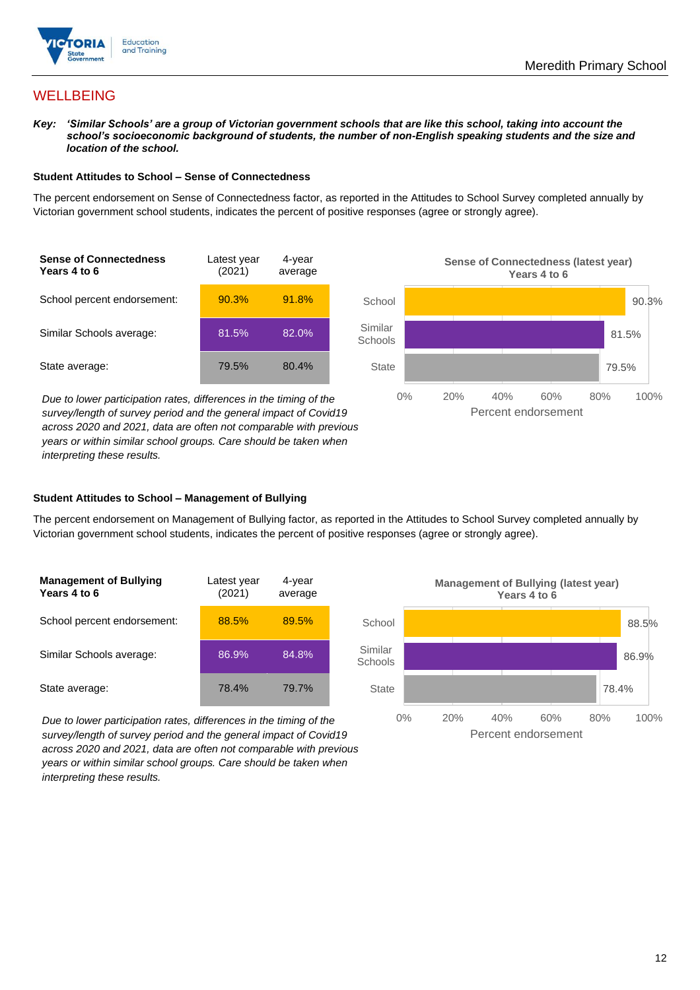

## **WELLBEING**

*Key: 'Similar Schools' are a group of Victorian government schools that are like this school, taking into account the school's socioeconomic background of students, the number of non-English speaking students and the size and location of the school.*

#### **Student Attitudes to School – Sense of Connectedness**

The percent endorsement on Sense of Connectedness factor, as reported in the Attitudes to School Survey completed annually by Victorian government school students, indicates the percent of positive responses (agree or strongly agree).

| <b>Sense of Connectedness</b><br>Years 4 to 6 | Latest year<br>(2021) | 4-year<br>average |
|-----------------------------------------------|-----------------------|-------------------|
| School percent endorsement:                   | 90.3%                 | 91.8%             |
| Similar Schools average:                      | 81.5%                 | 82.0%             |
| State average:                                | 79.5%                 | 80.4%             |

*Due to lower participation rates, differences in the timing of the survey/length of survey period and the general impact of Covid19 across 2020 and 2021, data are often not comparable with previous years or within similar school groups. Care should be taken when interpreting these results.*



#### **Student Attitudes to School – Management of Bullying**

The percent endorsement on Management of Bullying factor, as reported in the Attitudes to School Survey completed annually by Victorian government school students, indicates the percent of positive responses (agree or strongly agree).

| <b>Management of Bullying</b><br>Years 4 to 6 | Latest year<br>(2021) | 4-year<br>average |  |
|-----------------------------------------------|-----------------------|-------------------|--|
| School percent endorsement:                   | 88.5%                 | 89.5%             |  |
| Similar Schools average:                      | 86.9%                 | 84.8%             |  |
| State average:                                | 78.4%                 | 79.7%             |  |

*Due to lower participation rates, differences in the timing of the survey/length of survey period and the general impact of Covid19 across 2020 and 2021, data are often not comparable with previous years or within similar school groups. Care should be taken when interpreting these results.*

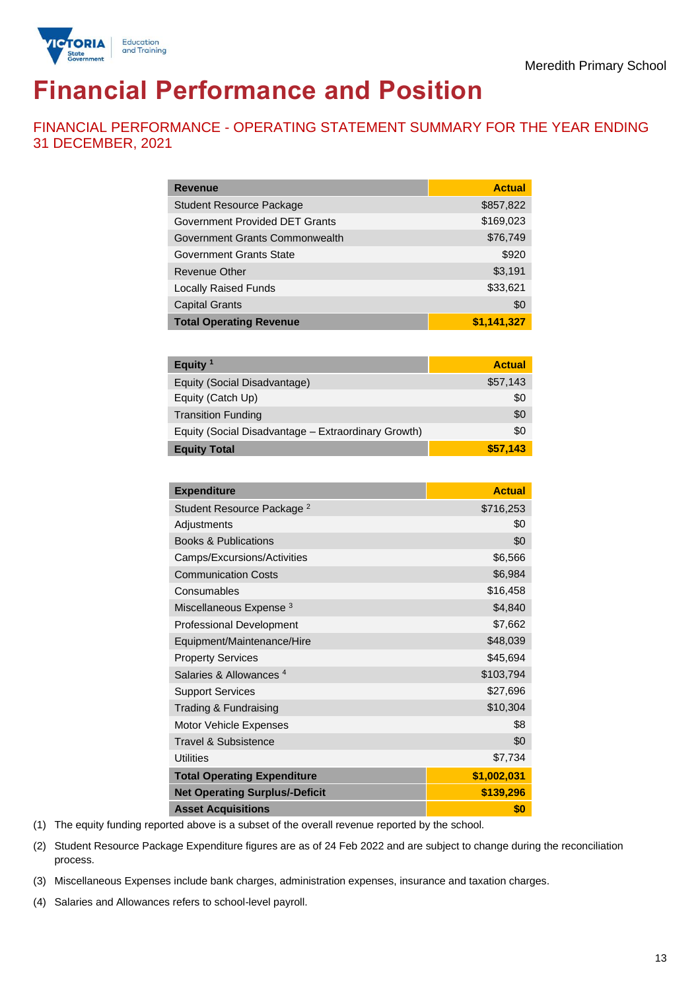

# **Financial Performance and Position**

FINANCIAL PERFORMANCE - OPERATING STATEMENT SUMMARY FOR THE YEAR ENDING 31 DECEMBER, 2021

| <b>Revenue</b>                  | <b>Actual</b> |
|---------------------------------|---------------|
| <b>Student Resource Package</b> | \$857,822     |
| Government Provided DET Grants  | \$169,023     |
| Government Grants Commonwealth  | \$76,749      |
| Government Grants State         | \$920         |
| <b>Revenue Other</b>            | \$3,191       |
| <b>Locally Raised Funds</b>     | \$33,621      |
| <b>Capital Grants</b>           | \$0           |
| <b>Total Operating Revenue</b>  | \$1,141,327   |

| Equity <sup>1</sup>                                 | <b>Actual</b> |
|-----------------------------------------------------|---------------|
| Equity (Social Disadvantage)                        | \$57,143      |
| Equity (Catch Up)                                   | \$0           |
| <b>Transition Funding</b>                           | \$0           |
| Equity (Social Disadvantage - Extraordinary Growth) | \$0           |
| <b>Equity Total</b>                                 | \$57,143      |

| <b>Expenditure</b>                    | <b>Actual</b> |
|---------------------------------------|---------------|
| Student Resource Package <sup>2</sup> | \$716,253     |
| Adjustments                           | \$0           |
| <b>Books &amp; Publications</b>       | \$0           |
| Camps/Excursions/Activities           | \$6,566       |
| <b>Communication Costs</b>            | \$6,984       |
| Consumables                           | \$16,458      |
| Miscellaneous Expense <sup>3</sup>    | \$4,840       |
| <b>Professional Development</b>       | \$7,662       |
| Equipment/Maintenance/Hire            | \$48,039      |
| <b>Property Services</b>              | \$45,694      |
| Salaries & Allowances <sup>4</sup>    | \$103,794     |
| <b>Support Services</b>               | \$27,696      |
| Trading & Fundraising                 | \$10,304      |
| Motor Vehicle Expenses                | \$8           |
| Travel & Subsistence                  | \$0           |
| <b>Utilities</b>                      | \$7,734       |
| <b>Total Operating Expenditure</b>    | \$1,002,031   |
| <b>Net Operating Surplus/-Deficit</b> | \$139,296     |
| <b>Asset Acquisitions</b>             | \$0           |

(1) The equity funding reported above is a subset of the overall revenue reported by the school.

(2) Student Resource Package Expenditure figures are as of 24 Feb 2022 and are subject to change during the reconciliation process.

(3) Miscellaneous Expenses include bank charges, administration expenses, insurance and taxation charges.

(4) Salaries and Allowances refers to school-level payroll.